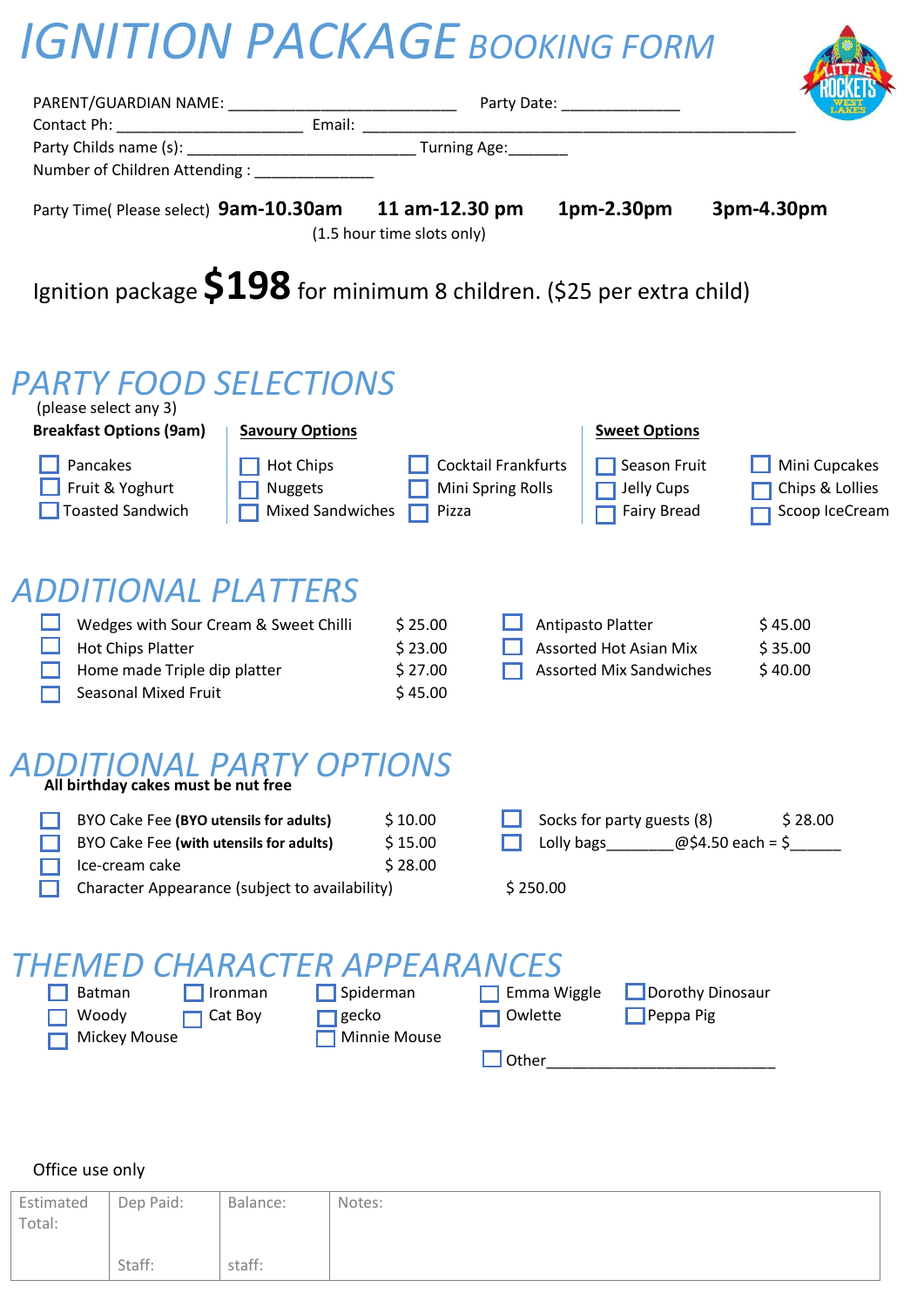# *IGNITION PACKAGE BOOKING FORM*



### *PARTY FOOD SELECTIONS*



Fruit & Yoghurt **Interpretional Contracts** Mini Spring Rolls **Contracts Intervention** Chips & Lollies

**A** Pancakes **Hot Chips** Hot Chips **Cocktail Frankfurts Season Fruit** Mini Cupcakes ■ Toasted Sandwich | ■ Mixed Sandwiches | Pizza | ■ Fairy Bread | Scoop IceCream

#### *ADDITIONAL PLATTERS*

| Wedges with Sour Cream & Sweet Chilli | \$25.00 | $\Box$ Antipasto Platter       | \$45.00 |
|---------------------------------------|---------|--------------------------------|---------|
| $\Box$ Hot Chips Platter              | \$23.00 | $\Box$ Assorted Hot Asian Mix  | \$35.00 |
| Home made Triple dip platter          | \$27.00 | $\Box$ Assorted Mix Sandwiches | \$40.00 |
| Seasonal Mixed Fruit                  | \$45.00 |                                |         |

| $\Box$ Antipasto Platter       | \$45.00 |
|--------------------------------|---------|
| $\Box$ Assorted Hot Asian Mix  | \$35.00 |
| $\Box$ Assorted Mix Sandwiches | \$40.00 |

## *ADDITIONAL PARTY OPTIONS*

| All birthday cakes must be nut free |  |  |  |
|-------------------------------------|--|--|--|
|                                     |  |  |  |

|  | BYO Cake Fee (BYO utensils for adults) |  |
|--|----------------------------------------|--|
|  |                                        |  |

| BYO Cake Fee (with utensils for adults) | \$15.00 |
|-----------------------------------------|---------|
| $\Box$ Ice-cream cake                   | \$28.00 |

Character Appearance (subject to availability) \$ 250.00

| BYO Cake Fee (BYO utensils for adults)  | \$10.00 | $\Box$ Socks for party guests (8)<br>\$28.00 |
|-----------------------------------------|---------|----------------------------------------------|
| BYO Cake Fee (with utensils for adults) | \$15.00 | $\Box$ Lolly bags<br>@\$4.50 each = \$       |

## *THEMED CHARACTER APPEARANCES*

| Batman              | Ironman        | Spiderman     | Emma Wiggle    | Dorothy Dinosaur |
|---------------------|----------------|---------------|----------------|------------------|
| Woodv               | <b>Cat Boy</b> | <b>g</b> ecko | $\Box$ Owlette | $\Box$ Peppa Pig |
| $\Box$ Mickey Mouse |                | Minnie Mouse  |                |                  |
|                     |                |               | $\Box$ Other   |                  |
|                     |                |               |                |                  |

#### Office use only

| Estimated   Dep Paid: |        | Balance: | Notes: |
|-----------------------|--------|----------|--------|
| Total:                |        |          |        |
|                       |        |          |        |
|                       | Staff: | staff:   |        |